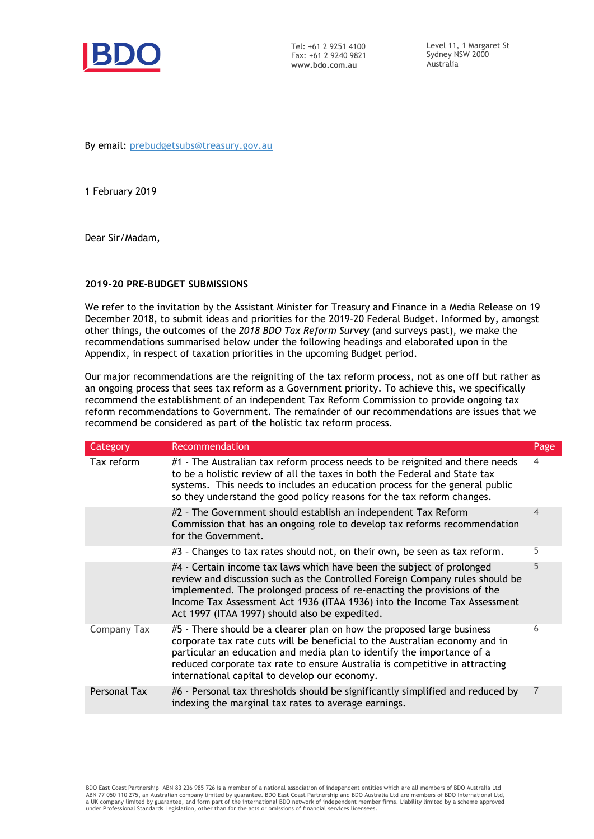

Tel: +61 2 9251 4100 Fax: +61 2 9240 9821 www.bdo.com.au

Level 11, 1 Margaret St Sydney NSW 2000 Australia

By email: prebudgetsubs@treasury.gov.au

1 February 2019

Dear Sir/Madam,

### 2019-20 PRE-BUDGET SUBMISSIONS

We refer to the invitation by the Assistant Minister for Treasury and Finance in a Media Release on 19 December 2018, to submit ideas and priorities for the 2019-20 Federal Budget. Informed by, amongst other things, the outcomes of the 2018 BDO Tax Reform Survey (and surveys past), we make the recommendations summarised below under the following headings and elaborated upon in the Appendix, in respect of taxation priorities in the upcoming Budget period.

Our major recommendations are the reigniting of the tax reform process, not as one off but rather as an ongoing process that sees tax reform as a Government priority. To achieve this, we specifically recommend the establishment of an independent Tax Reform Commission to provide ongoing tax reform recommendations to Government. The remainder of our recommendations are issues that we recommend be considered as part of the holistic tax reform process.

| Category     | Recommendation                                                                                                                                                                                                                                                                                                                                                  | Page           |
|--------------|-----------------------------------------------------------------------------------------------------------------------------------------------------------------------------------------------------------------------------------------------------------------------------------------------------------------------------------------------------------------|----------------|
| Tax reform   | #1 - The Australian tax reform process needs to be reignited and there needs<br>to be a holistic review of all the taxes in both the Federal and State tax<br>systems. This needs to includes an education process for the general public<br>so they understand the good policy reasons for the tax reform changes.                                             | $\overline{4}$ |
|              | #2 - The Government should establish an independent Tax Reform<br>Commission that has an ongoing role to develop tax reforms recommendation<br>for the Government.                                                                                                                                                                                              | 4              |
|              | #3 - Changes to tax rates should not, on their own, be seen as tax reform.                                                                                                                                                                                                                                                                                      | 5              |
|              | #4 - Certain income tax laws which have been the subject of prolonged<br>review and discussion such as the Controlled Foreign Company rules should be<br>implemented. The prolonged process of re-enacting the provisions of the<br>Income Tax Assessment Act 1936 (ITAA 1936) into the Income Tax Assessment<br>Act 1997 (ITAA 1997) should also be expedited. | 5              |
| Company Tax  | #5 - There should be a clearer plan on how the proposed large business<br>corporate tax rate cuts will be beneficial to the Australian economy and in<br>particular an education and media plan to identify the importance of a<br>reduced corporate tax rate to ensure Australia is competitive in attracting<br>international capital to develop our economy. | 6              |
| Personal Tax | #6 - Personal tax thresholds should be significantly simplified and reduced by<br>indexing the marginal tax rates to average earnings.                                                                                                                                                                                                                          | 7              |

BDO East Coast Partnership ABN 83 236 985 726 is a member of a national association of independent entities which are all members of BDO Australia Ltd<br>ABN 77 050 110 275, an Australian company limited by guarantee. BDO Ea under Professional Standards Legislation, other than for the acts or omissions of financial services licensees.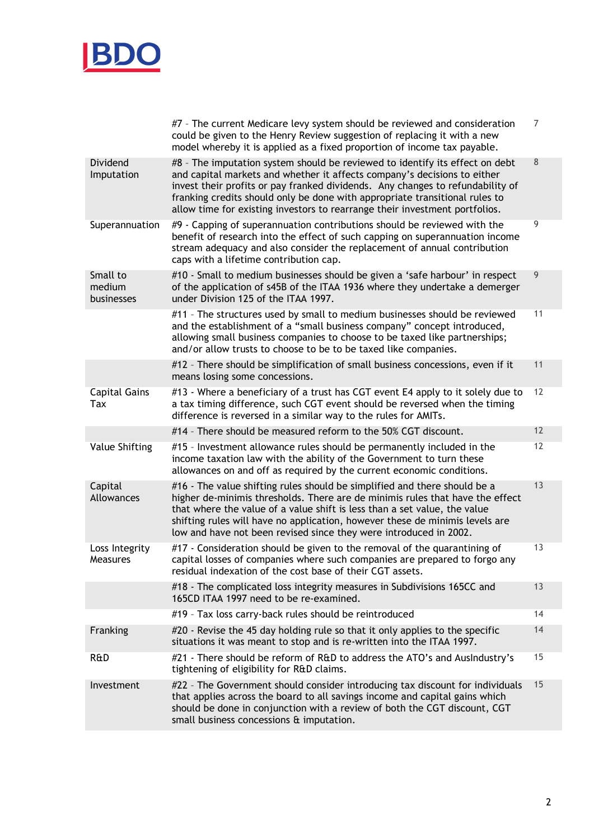

|                                   | #7 - The current Medicare levy system should be reviewed and consideration<br>could be given to the Henry Review suggestion of replacing it with a new                                                                                                                                                                                                                                                   | $\overline{7}$ |
|-----------------------------------|----------------------------------------------------------------------------------------------------------------------------------------------------------------------------------------------------------------------------------------------------------------------------------------------------------------------------------------------------------------------------------------------------------|----------------|
|                                   | model whereby it is applied as a fixed proportion of income tax payable.                                                                                                                                                                                                                                                                                                                                 |                |
| Dividend<br>Imputation            | #8 - The imputation system should be reviewed to identify its effect on debt<br>and capital markets and whether it affects company's decisions to either<br>invest their profits or pay franked dividends. Any changes to refundability of<br>franking credits should only be done with appropriate transitional rules to<br>allow time for existing investors to rearrange their investment portfolios. | 8              |
| Superannuation                    | #9 - Capping of superannuation contributions should be reviewed with the<br>benefit of research into the effect of such capping on superannuation income<br>stream adequacy and also consider the replacement of annual contribution<br>caps with a lifetime contribution cap.                                                                                                                           | 9              |
| Small to<br>medium<br>businesses  | #10 - Small to medium businesses should be given a 'safe harbour' in respect<br>of the application of s45B of the ITAA 1936 where they undertake a demerger<br>under Division 125 of the ITAA 1997.                                                                                                                                                                                                      | 9              |
|                                   | #11 - The structures used by small to medium businesses should be reviewed<br>and the establishment of a "small business company" concept introduced,<br>allowing small business companies to choose to be taxed like partnerships;<br>and/or allow trusts to choose to be to be taxed like companies.                                                                                                   | 11             |
|                                   | #12 - There should be simplification of small business concessions, even if it<br>means losing some concessions.                                                                                                                                                                                                                                                                                         | 11             |
| <b>Capital Gains</b><br>Tax       | #13 - Where a beneficiary of a trust has CGT event E4 apply to it solely due to<br>a tax timing difference, such CGT event should be reversed when the timing<br>difference is reversed in a similar way to the rules for AMITs.                                                                                                                                                                         | 12             |
|                                   | #14 - There should be measured reform to the 50% CGT discount.                                                                                                                                                                                                                                                                                                                                           | 12             |
| <b>Value Shifting</b>             | #15 - Investment allowance rules should be permanently included in the<br>income taxation law with the ability of the Government to turn these<br>allowances on and off as required by the current economic conditions.                                                                                                                                                                                  | 12             |
| Capital<br>Allowances             | #16 - The value shifting rules should be simplified and there should be a<br>higher de-minimis thresholds. There are de minimis rules that have the effect<br>that where the value of a value shift is less than a set value, the value<br>shifting rules will have no application, however these de minimis levels are<br>low and have not been revised since they were introduced in 2002.             | 13             |
| Loss Integrity<br><b>Measures</b> | #17 - Consideration should be given to the removal of the quarantining of<br>capital losses of companies where such companies are prepared to forgo any<br>residual indexation of the cost base of their CGT assets.                                                                                                                                                                                     | 13             |
|                                   | #18 - The complicated loss integrity measures in Subdivisions 165CC and<br>165CD ITAA 1997 need to be re-examined.                                                                                                                                                                                                                                                                                       | 13             |
|                                   | #19 - Tax loss carry-back rules should be reintroduced                                                                                                                                                                                                                                                                                                                                                   | 14             |
| Franking                          | #20 - Revise the 45 day holding rule so that it only applies to the specific<br>situations it was meant to stop and is re-written into the ITAA 1997.                                                                                                                                                                                                                                                    | 14             |
| R&D                               | #21 - There should be reform of R&D to address the ATO's and AusIndustry's<br>tightening of eligibility for R&D claims.                                                                                                                                                                                                                                                                                  | 15             |
| Investment                        | #22 - The Government should consider introducing tax discount for individuals<br>that applies across the board to all savings income and capital gains which<br>should be done in conjunction with a review of both the CGT discount, CGT<br>small business concessions & imputation.                                                                                                                    | 15             |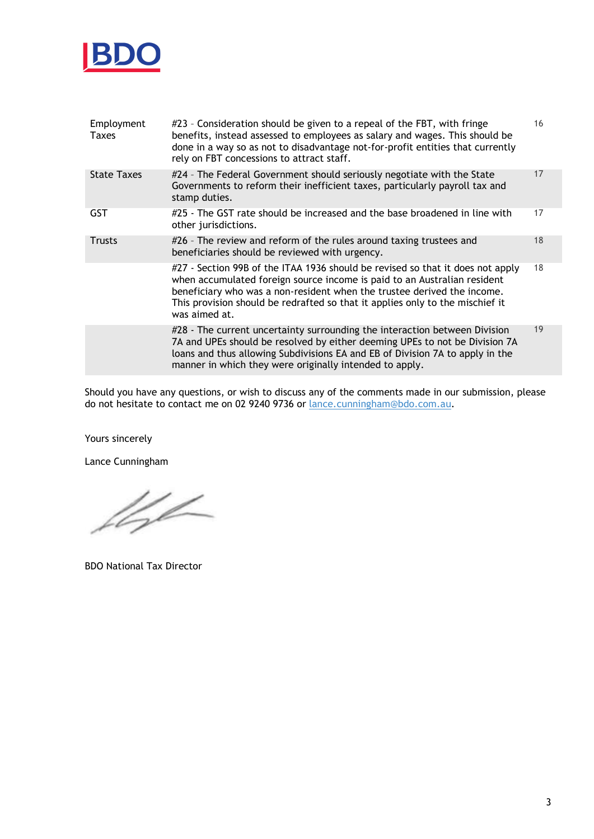

| Employment<br><b>Taxes</b> | #23 - Consideration should be given to a repeal of the FBT, with fringe<br>benefits, instead assessed to employees as salary and wages. This should be<br>done in a way so as not to disadvantage not-for-profit entities that currently<br>rely on FBT concessions to attract staff.                                                   | 16 |
|----------------------------|-----------------------------------------------------------------------------------------------------------------------------------------------------------------------------------------------------------------------------------------------------------------------------------------------------------------------------------------|----|
| <b>State Taxes</b>         | #24 - The Federal Government should seriously negotiate with the State<br>Governments to reform their inefficient taxes, particularly payroll tax and<br>stamp duties.                                                                                                                                                                  | 17 |
| <b>GST</b>                 | #25 - The GST rate should be increased and the base broadened in line with<br>other jurisdictions.                                                                                                                                                                                                                                      | 17 |
| <b>Trusts</b>              | #26 - The review and reform of the rules around taxing trustees and<br>beneficiaries should be reviewed with urgency.                                                                                                                                                                                                                   | 18 |
|                            | #27 - Section 99B of the ITAA 1936 should be revised so that it does not apply<br>when accumulated foreign source income is paid to an Australian resident<br>beneficiary who was a non-resident when the trustee derived the income.<br>This provision should be redrafted so that it applies only to the mischief it<br>was aimed at. | 18 |
|                            | #28 - The current uncertainty surrounding the interaction between Division<br>7A and UPEs should be resolved by either deeming UPEs to not be Division 7A<br>loans and thus allowing Subdivisions EA and EB of Division 7A to apply in the<br>manner in which they were originally intended to apply.                                   | 19 |

Should you have any questions, or wish to discuss any of the comments made in our submission, please do not hesitate to contact me on 02 9240 9736 or lance.cunningham@bdo.com.au.

Yours sincerely

Lance Cunningham

left

BDO National Tax Director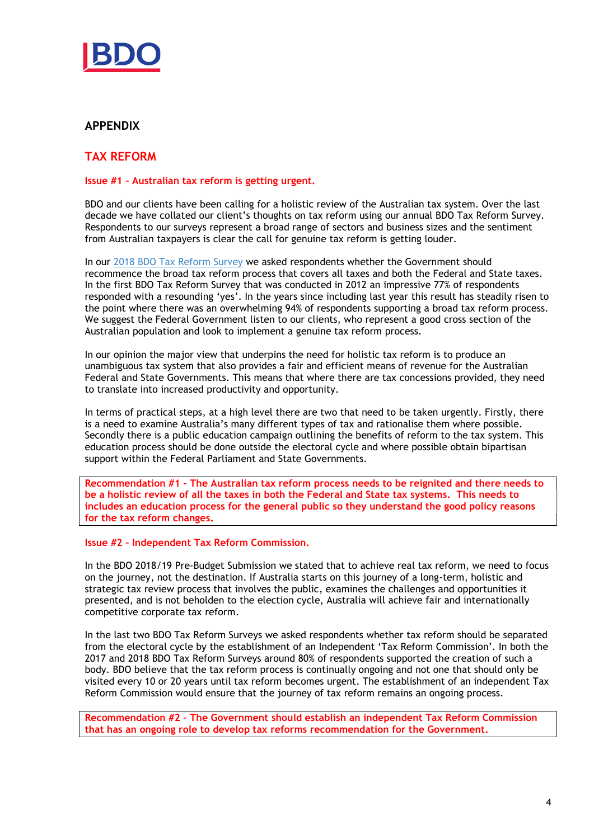

# APPENDIX

# TAX REFORM

## Issue #1 – Australian tax reform is getting urgent.

BDO and our clients have been calling for a holistic review of the Australian tax system. Over the last decade we have collated our client's thoughts on tax reform using our annual BDO Tax Reform Survey. Respondents to our surveys represent a broad range of sectors and business sizes and the sentiment from Australian taxpayers is clear the call for genuine tax reform is getting louder.

In our 2018 BDO Tax Reform Survey we asked respondents whether the Government should recommence the broad tax reform process that covers all taxes and both the Federal and State taxes. In the first BDO Tax Reform Survey that was conducted in 2012 an impressive 77% of respondents responded with a resounding 'yes'. In the years since including last year this result has steadily risen to the point where there was an overwhelming 94% of respondents supporting a broad tax reform process. We suggest the Federal Government listen to our clients, who represent a good cross section of the Australian population and look to implement a genuine tax reform process.

In our opinion the major view that underpins the need for holistic tax reform is to produce an unambiguous tax system that also provides a fair and efficient means of revenue for the Australian Federal and State Governments. This means that where there are tax concessions provided, they need to translate into increased productivity and opportunity.

In terms of practical steps, at a high level there are two that need to be taken urgently. Firstly, there is a need to examine Australia's many different types of tax and rationalise them where possible. Secondly there is a public education campaign outlining the benefits of reform to the tax system. This education process should be done outside the electoral cycle and where possible obtain bipartisan support within the Federal Parliament and State Governments.

Recommendation #1 - The Australian tax reform process needs to be reignited and there needs to be a holistic review of all the taxes in both the Federal and State tax systems. This needs to includes an education process for the general public so they understand the good policy reasons for the tax reform changes.

#### Issue #2 – Independent Tax Reform Commission.

In the BDO 2018/19 Pre-Budget Submission we stated that to achieve real tax reform, we need to focus on the journey, not the destination. If Australia starts on this journey of a long-term, holistic and strategic tax review process that involves the public, examines the challenges and opportunities it presented, and is not beholden to the election cycle, Australia will achieve fair and internationally competitive corporate tax reform.

In the last two BDO Tax Reform Surveys we asked respondents whether tax reform should be separated from the electoral cycle by the establishment of an Independent 'Tax Reform Commission'. In both the 2017 and 2018 BDO Tax Reform Surveys around 80% of respondents supported the creation of such a body. BDO believe that the tax reform process is continually ongoing and not one that should only be visited every 10 or 20 years until tax reform becomes urgent. The establishment of an independent Tax Reform Commission would ensure that the journey of tax reform remains an ongoing process.

Recommendation #2 – The Government should establish an independent Tax Reform Commission that has an ongoing role to develop tax reforms recommendation for the Government.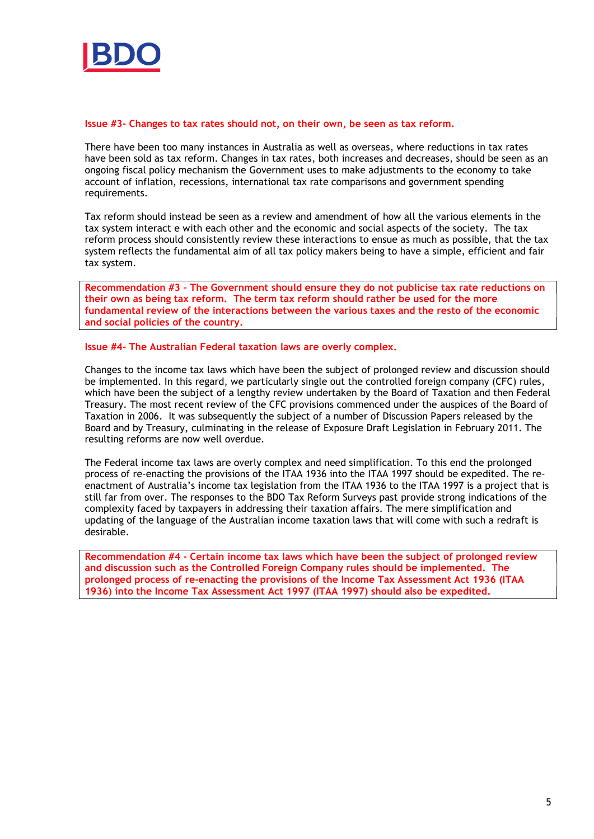

#### Issue #3- Changes to tax rates should not, on their own, be seen as tax reform.

There have been too many instances in Australia as well as overseas, where reductions in tax rates have been sold as tax reform. Changes in tax rates, both increases and decreases, should be seen as an ongoing fiscal policy mechanism the Government uses to make adjustments to the economy to take account of inflation, recessions, international tax rate comparisons and government spending requirements.

Tax reform should instead be seen as a review and amendment of how all the various elements in the tax system interact e with each other and the economic and social aspects of the society. The tax reform process should consistently review these interactions to ensue as much as possible, that the tax system reflects the fundamental aim of all tax policy makers being to have a simple, efficient and fair tax system.

Recommendation #3 – The Government should ensure they do not publicise tax rate reductions on their own as being tax reform. The term tax reform should rather be used for the more fundamental review of the interactions between the various taxes and the resto of the economic and social policies of the country.

#### Issue #4- The Australian Federal taxation laws are overly complex.

Changes to the income tax laws which have been the subject of prolonged review and discussion should be implemented. In this regard, we particularly single out the controlled foreign company (CFC) rules, which have been the subject of a lengthy review undertaken by the Board of Taxation and then Federal Treasury. The most recent review of the CFC provisions commenced under the auspices of the Board of Taxation in 2006. It was subsequently the subject of a number of Discussion Papers released by the Board and by Treasury, culminating in the release of Exposure Draft Legislation in February 2011. The resulting reforms are now well overdue.

The Federal income tax laws are overly complex and need simplification. To this end the prolonged process of re-enacting the provisions of the ITAA 1936 into the ITAA 1997 should be expedited. The reenactment of Australia's income tax legislation from the ITAA 1936 to the ITAA 1997 is a project that is still far from over. The responses to the BDO Tax Reform Surveys past provide strong indications of the complexity faced by taxpayers in addressing their taxation affairs. The mere simplification and updating of the language of the Australian income taxation laws that will come with such a redraft is desirable.

Recommendation #4 - Certain income tax laws which have been the subject of prolonged review and discussion such as the Controlled Foreign Company rules should be implemented. The prolonged process of re-enacting the provisions of the Income Tax Assessment Act 1936 (ITAA 1936) into the Income Tax Assessment Act 1997 (ITAA 1997) should also be expedited.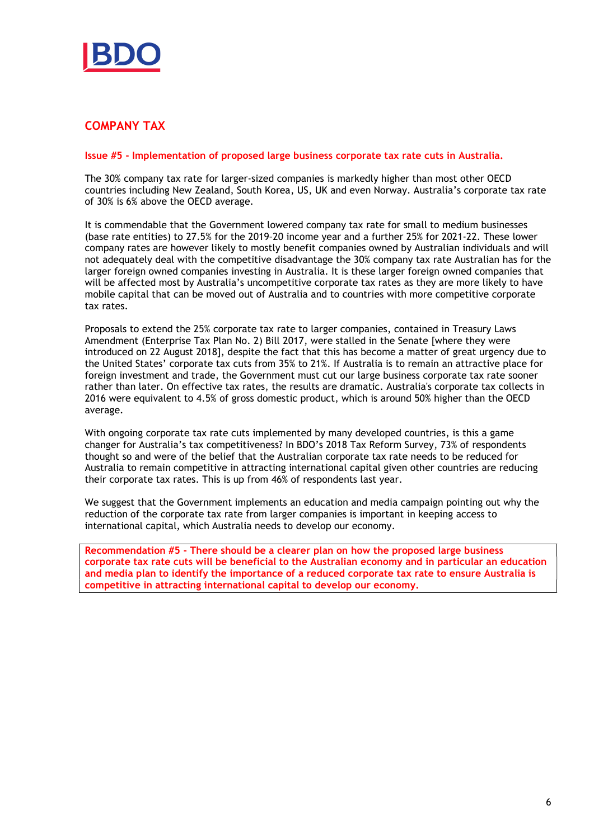

# COMPANY TAX

#### Issue #5 - Implementation of proposed large business corporate tax rate cuts in Australia.

The 30% company tax rate for larger-sized companies is markedly higher than most other OECD countries including New Zealand, South Korea, US, UK and even Norway. Australia's corporate tax rate of 30% is 6% above the OECD average.

It is commendable that the Government lowered company tax rate for small to medium businesses (base rate entities) to 27.5% for the 2019–20 income year and a further 25% for 2021-22. These lower company rates are however likely to mostly benefit companies owned by Australian individuals and will not adequately deal with the competitive disadvantage the 30% company tax rate Australian has for the larger foreign owned companies investing in Australia. It is these larger foreign owned companies that will be affected most by Australia's uncompetitive corporate tax rates as they are more likely to have mobile capital that can be moved out of Australia and to countries with more competitive corporate tax rates.

Proposals to extend the 25% corporate tax rate to larger companies, contained in Treasury Laws Amendment (Enterprise Tax Plan No. 2) Bill 2017, were stalled in the Senate [where they were introduced on 22 August 2018], despite the fact that this has become a matter of great urgency due to the United States' corporate tax cuts from 35% to 21%. If Australia is to remain an attractive place for foreign investment and trade, the Government must cut our large business corporate tax rate sooner rather than later. On effective tax rates, the results are dramatic. Australia's corporate tax collects in 2016 were equivalent to 4.5% of gross domestic product, which is around 50% higher than the OECD average.

With ongoing corporate tax rate cuts implemented by many developed countries, is this a game changer for Australia's tax competitiveness? In BDO's 2018 Tax Reform Survey, 73% of respondents thought so and were of the belief that the Australian corporate tax rate needs to be reduced for Australia to remain competitive in attracting international capital given other countries are reducing their corporate tax rates. This is up from 46% of respondents last year.

We suggest that the Government implements an education and media campaign pointing out why the reduction of the corporate tax rate from larger companies is important in keeping access to international capital, which Australia needs to develop our economy.

Recommendation #5 - There should be a clearer plan on how the proposed large business corporate tax rate cuts will be beneficial to the Australian economy and in particular an education and media plan to identify the importance of a reduced corporate tax rate to ensure Australia is competitive in attracting international capital to develop our economy.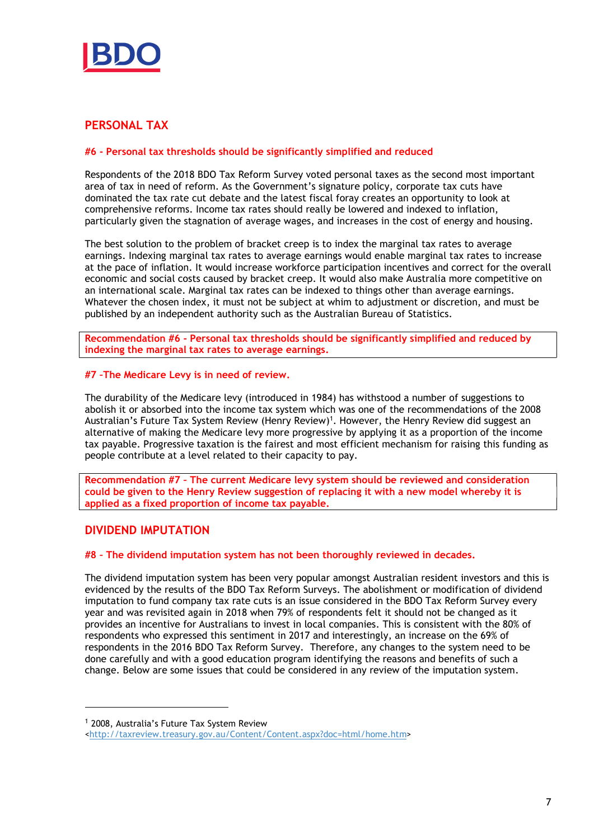

# PERSONAL TAX

## #6 - Personal tax thresholds should be significantly simplified and reduced

Respondents of the 2018 BDO Tax Reform Survey voted personal taxes as the second most important area of tax in need of reform. As the Government's signature policy, corporate tax cuts have dominated the tax rate cut debate and the latest fiscal foray creates an opportunity to look at comprehensive reforms. Income tax rates should really be lowered and indexed to inflation, particularly given the stagnation of average wages, and increases in the cost of energy and housing.

The best solution to the problem of bracket creep is to index the marginal tax rates to average earnings. Indexing marginal tax rates to average earnings would enable marginal tax rates to increase at the pace of inflation. It would increase workforce participation incentives and correct for the overall economic and social costs caused by bracket creep. It would also make Australia more competitive on an international scale. Marginal tax rates can be indexed to things other than average earnings. Whatever the chosen index, it must not be subject at whim to adjustment or discretion, and must be published by an independent authority such as the Australian Bureau of Statistics.

Recommendation #6 - Personal tax thresholds should be significantly simplified and reduced by indexing the marginal tax rates to average earnings.

### #7 –The Medicare Levy is in need of review.

The durability of the Medicare levy (introduced in 1984) has withstood a number of suggestions to abolish it or absorbed into the income tax system which was one of the recommendations of the 2008 Australian's Future Tax System Review (Henry Review)<sup>1</sup>. However, the Henry Review did suggest an alternative of making the Medicare levy more progressive by applying it as a proportion of the income tax payable. Progressive taxation is the fairest and most efficient mechanism for raising this funding as people contribute at a level related to their capacity to pay.

Recommendation #7 – The current Medicare levy system should be reviewed and consideration could be given to the Henry Review suggestion of replacing it with a new model whereby it is applied as a fixed proportion of income tax payable.

# DIVIDEND IMPUTATION

## #8 – The dividend imputation system has not been thoroughly reviewed in decades.

The dividend imputation system has been very popular amongst Australian resident investors and this is evidenced by the results of the BDO Tax Reform Surveys. The abolishment or modification of dividend imputation to fund company tax rate cuts is an issue considered in the BDO Tax Reform Survey every year and was revisited again in 2018 when 79% of respondents felt it should not be changed as it provides an incentive for Australians to invest in local companies. This is consistent with the 80% of respondents who expressed this sentiment in 2017 and interestingly, an increase on the 69% of respondents in the 2016 BDO Tax Reform Survey. Therefore, any changes to the system need to be done carefully and with a good education program identifying the reasons and benefits of such a change. Below are some issues that could be considered in any review of the imputation system.

-

<sup>1</sup> 2008, Australia's Future Tax System Review

<sup>&</sup>lt;http://taxreview.treasury.gov.au/Content/Content.aspx?doc=html/home.htm>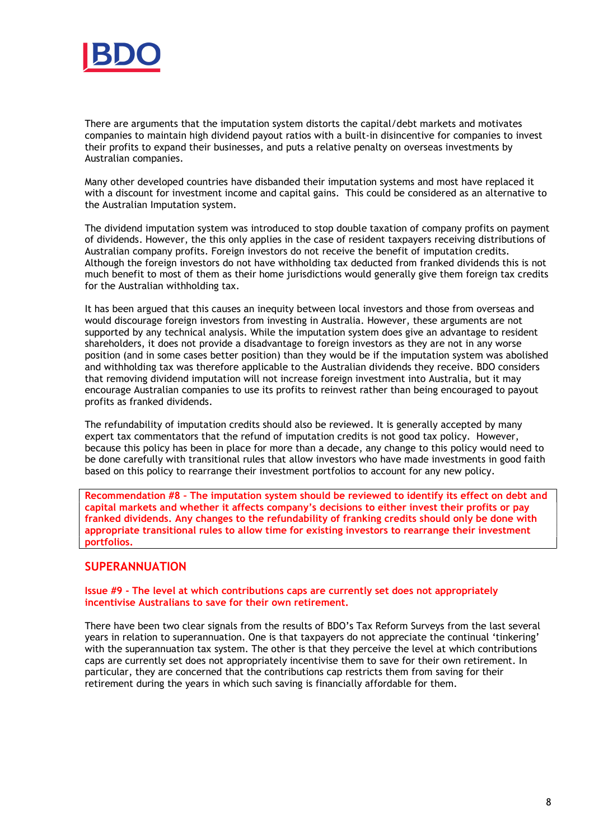

There are arguments that the imputation system distorts the capital/debt markets and motivates companies to maintain high dividend payout ratios with a built-in disincentive for companies to invest their profits to expand their businesses, and puts a relative penalty on overseas investments by Australian companies.

Many other developed countries have disbanded their imputation systems and most have replaced it with a discount for investment income and capital gains. This could be considered as an alternative to the Australian Imputation system.

The dividend imputation system was introduced to stop double taxation of company profits on payment of dividends. However, the this only applies in the case of resident taxpayers receiving distributions of Australian company profits. Foreign investors do not receive the benefit of imputation credits. Although the foreign investors do not have withholding tax deducted from franked dividends this is not much benefit to most of them as their home jurisdictions would generally give them foreign tax credits for the Australian withholding tax.

It has been argued that this causes an inequity between local investors and those from overseas and would discourage foreign investors from investing in Australia. However, these arguments are not supported by any technical analysis. While the imputation system does give an advantage to resident shareholders, it does not provide a disadvantage to foreign investors as they are not in any worse position (and in some cases better position) than they would be if the imputation system was abolished and withholding tax was therefore applicable to the Australian dividends they receive. BDO considers that removing dividend imputation will not increase foreign investment into Australia, but it may encourage Australian companies to use its profits to reinvest rather than being encouraged to payout profits as franked dividends.

The refundability of imputation credits should also be reviewed. It is generally accepted by many expert tax commentators that the refund of imputation credits is not good tax policy. However, because this policy has been in place for more than a decade, any change to this policy would need to be done carefully with transitional rules that allow investors who have made investments in good faith based on this policy to rearrange their investment portfolios to account for any new policy.

Recommendation #8 – The imputation system should be reviewed to identify its effect on debt and capital markets and whether it affects company's decisions to either invest their profits or pay franked dividends. Any changes to the refundability of franking credits should only be done with appropriate transitional rules to allow time for existing investors to rearrange their investment portfolios.

## SUPERANNUATION

#### Issue #9 - The level at which contributions caps are currently set does not appropriately incentivise Australians to save for their own retirement.

There have been two clear signals from the results of BDO's Tax Reform Surveys from the last several years in relation to superannuation. One is that taxpayers do not appreciate the continual 'tinkering' with the superannuation tax system. The other is that they perceive the level at which contributions caps are currently set does not appropriately incentivise them to save for their own retirement. In particular, they are concerned that the contributions cap restricts them from saving for their retirement during the years in which such saving is financially affordable for them.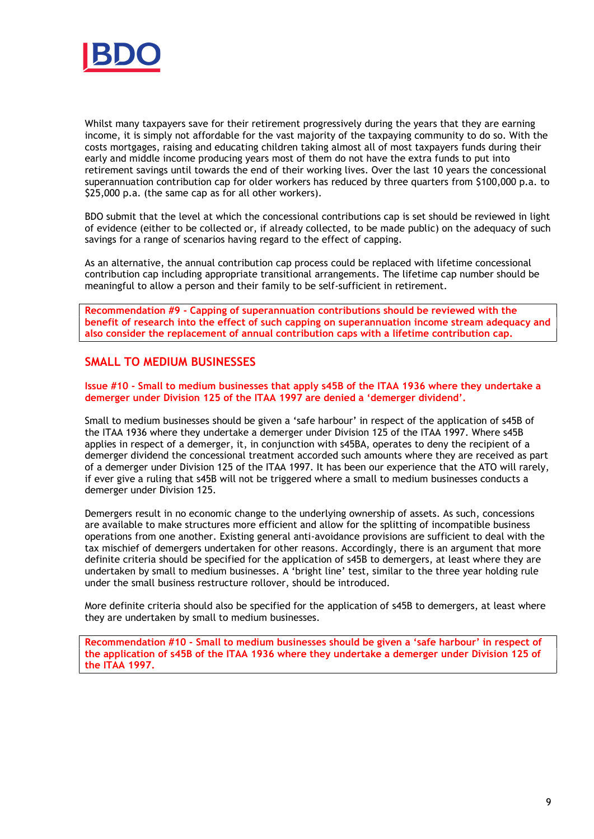

Whilst many taxpayers save for their retirement progressively during the years that they are earning income, it is simply not affordable for the vast majority of the taxpaying community to do so. With the costs mortgages, raising and educating children taking almost all of most taxpayers funds during their early and middle income producing years most of them do not have the extra funds to put into retirement savings until towards the end of their working lives. Over the last 10 years the concessional superannuation contribution cap for older workers has reduced by three quarters from \$100,000 p.a. to \$25,000 p.a. (the same cap as for all other workers).

BDO submit that the level at which the concessional contributions cap is set should be reviewed in light of evidence (either to be collected or, if already collected, to be made public) on the adequacy of such savings for a range of scenarios having regard to the effect of capping.

As an alternative, the annual contribution cap process could be replaced with lifetime concessional contribution cap including appropriate transitional arrangements. The lifetime cap number should be meaningful to allow a person and their family to be self-sufficient in retirement.

Recommendation #9 - Capping of superannuation contributions should be reviewed with the benefit of research into the effect of such capping on superannuation income stream adequacy and also consider the replacement of annual contribution caps with a lifetime contribution cap.

# SMALL TO MEDIUM BUSINESSES

Issue #10 - Small to medium businesses that apply s45B of the ITAA 1936 where they undertake a demerger under Division 125 of the ITAA 1997 are denied a 'demerger dividend'.

Small to medium businesses should be given a 'safe harbour' in respect of the application of s45B of the ITAA 1936 where they undertake a demerger under Division 125 of the ITAA 1997. Where s45B applies in respect of a demerger, it, in conjunction with s45BA, operates to deny the recipient of a demerger dividend the concessional treatment accorded such amounts where they are received as part of a demerger under Division 125 of the ITAA 1997. It has been our experience that the ATO will rarely, if ever give a ruling that s45B will not be triggered where a small to medium businesses conducts a demerger under Division 125.

Demergers result in no economic change to the underlying ownership of assets. As such, concessions are available to make structures more efficient and allow for the splitting of incompatible business operations from one another. Existing general anti-avoidance provisions are sufficient to deal with the tax mischief of demergers undertaken for other reasons. Accordingly, there is an argument that more definite criteria should be specified for the application of s45B to demergers, at least where they are undertaken by small to medium businesses. A 'bright line' test, similar to the three year holding rule under the small business restructure rollover, should be introduced.

More definite criteria should also be specified for the application of s45B to demergers, at least where they are undertaken by small to medium businesses.

Recommendation #10 - Small to medium businesses should be given a 'safe harbour' in respect of the application of s45B of the ITAA 1936 where they undertake a demerger under Division 125 of the ITAA 1997.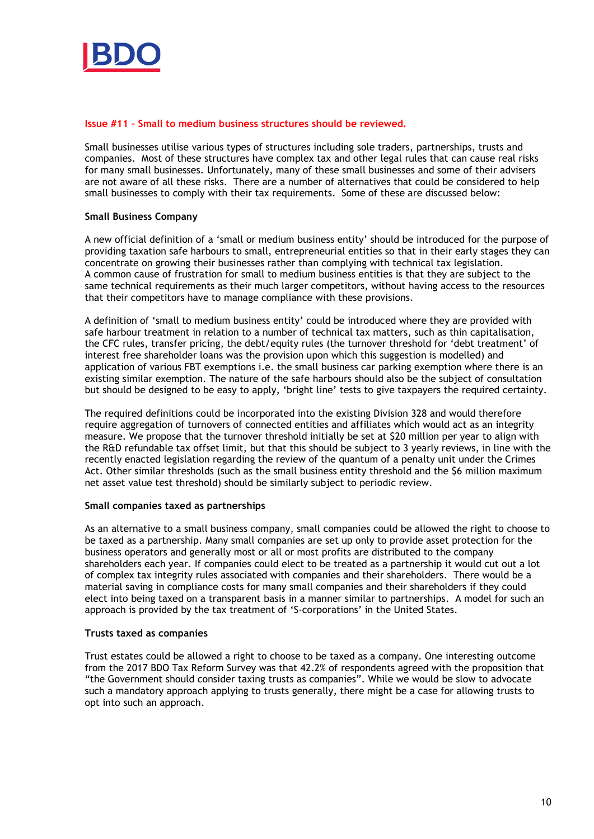

#### Issue #11 – Small to medium business structures should be reviewed.

Small businesses utilise various types of structures including sole traders, partnerships, trusts and companies. Most of these structures have complex tax and other legal rules that can cause real risks for many small businesses. Unfortunately, many of these small businesses and some of their advisers are not aware of all these risks. There are a number of alternatives that could be considered to help small businesses to comply with their tax requirements. Some of these are discussed below:

### Small Business Company

A new official definition of a 'small or medium business entity' should be introduced for the purpose of providing taxation safe harbours to small, entrepreneurial entities so that in their early stages they can concentrate on growing their businesses rather than complying with technical tax legislation. A common cause of frustration for small to medium business entities is that they are subject to the same technical requirements as their much larger competitors, without having access to the resources that their competitors have to manage compliance with these provisions.

A definition of 'small to medium business entity' could be introduced where they are provided with safe harbour treatment in relation to a number of technical tax matters, such as thin capitalisation, the CFC rules, transfer pricing, the debt/equity rules (the turnover threshold for 'debt treatment' of interest free shareholder loans was the provision upon which this suggestion is modelled) and application of various FBT exemptions i.e. the small business car parking exemption where there is an existing similar exemption. The nature of the safe harbours should also be the subject of consultation but should be designed to be easy to apply, 'bright line' tests to give taxpayers the required certainty.

The required definitions could be incorporated into the existing Division 328 and would therefore require aggregation of turnovers of connected entities and affiliates which would act as an integrity measure. We propose that the turnover threshold initially be set at \$20 million per year to align with the R&D refundable tax offset limit, but that this should be subject to 3 yearly reviews, in line with the recently enacted legislation regarding the review of the quantum of a penalty unit under the Crimes Act. Other similar thresholds (such as the small business entity threshold and the \$6 million maximum net asset value test threshold) should be similarly subject to periodic review.

#### Small companies taxed as partnerships

As an alternative to a small business company, small companies could be allowed the right to choose to be taxed as a partnership. Many small companies are set up only to provide asset protection for the business operators and generally most or all or most profits are distributed to the company shareholders each year. If companies could elect to be treated as a partnership it would cut out a lot of complex tax integrity rules associated with companies and their shareholders. There would be a material saving in compliance costs for many small companies and their shareholders if they could elect into being taxed on a transparent basis in a manner similar to partnerships. A model for such an approach is provided by the tax treatment of 'S-corporations' in the United States.

#### Trusts taxed as companies

Trust estates could be allowed a right to choose to be taxed as a company. One interesting outcome from the 2017 BDO Tax Reform Survey was that 42.2% of respondents agreed with the proposition that "the Government should consider taxing trusts as companies". While we would be slow to advocate such a mandatory approach applying to trusts generally, there might be a case for allowing trusts to opt into such an approach.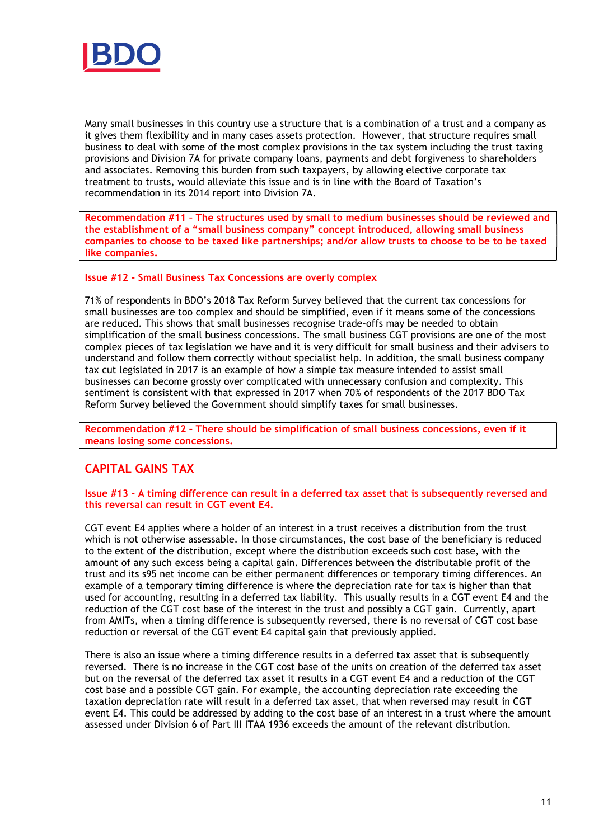

Many small businesses in this country use a structure that is a combination of a trust and a company as it gives them flexibility and in many cases assets protection. However, that structure requires small business to deal with some of the most complex provisions in the tax system including the trust taxing provisions and Division 7A for private company loans, payments and debt forgiveness to shareholders and associates. Removing this burden from such taxpayers, by allowing elective corporate tax treatment to trusts, would alleviate this issue and is in line with the Board of Taxation's recommendation in its 2014 report into Division 7A.

Recommendation #11 – The structures used by small to medium businesses should be reviewed and the establishment of a "small business company" concept introduced, allowing small business companies to choose to be taxed like partnerships; and/or allow trusts to choose to be to be taxed like companies.

### Issue #12 - Small Business Tax Concessions are overly complex

71% of respondents in BDO's 2018 Tax Reform Survey believed that the current tax concessions for small businesses are too complex and should be simplified, even if it means some of the concessions are reduced. This shows that small businesses recognise trade-offs may be needed to obtain simplification of the small business concessions. The small business CGT provisions are one of the most complex pieces of tax legislation we have and it is very difficult for small business and their advisers to understand and follow them correctly without specialist help. In addition, the small business company tax cut legislated in 2017 is an example of how a simple tax measure intended to assist small businesses can become grossly over complicated with unnecessary confusion and complexity. This sentiment is consistent with that expressed in 2017 when 70% of respondents of the 2017 BDO Tax Reform Survey believed the Government should simplify taxes for small businesses.

Recommendation #12 – There should be simplification of small business concessions, even if it means losing some concessions.

# CAPITAL GAINS TAX

#### Issue #13 – A timing difference can result in a deferred tax asset that is subsequently reversed and this reversal can result in CGT event E4.

CGT event E4 applies where a holder of an interest in a trust receives a distribution from the trust which is not otherwise assessable. In those circumstances, the cost base of the beneficiary is reduced to the extent of the distribution, except where the distribution exceeds such cost base, with the amount of any such excess being a capital gain. Differences between the distributable profit of the trust and its s95 net income can be either permanent differences or temporary timing differences. An example of a temporary timing difference is where the depreciation rate for tax is higher than that used for accounting, resulting in a deferred tax liability. This usually results in a CGT event E4 and the reduction of the CGT cost base of the interest in the trust and possibly a CGT gain. Currently, apart from AMITs, when a timing difference is subsequently reversed, there is no reversal of CGT cost base reduction or reversal of the CGT event E4 capital gain that previously applied.

There is also an issue where a timing difference results in a deferred tax asset that is subsequently reversed. There is no increase in the CGT cost base of the units on creation of the deferred tax asset but on the reversal of the deferred tax asset it results in a CGT event E4 and a reduction of the CGT cost base and a possible CGT gain. For example, the accounting depreciation rate exceeding the taxation depreciation rate will result in a deferred tax asset, that when reversed may result in CGT event E4. This could be addressed by adding to the cost base of an interest in a trust where the amount assessed under Division 6 of Part III ITAA 1936 exceeds the amount of the relevant distribution.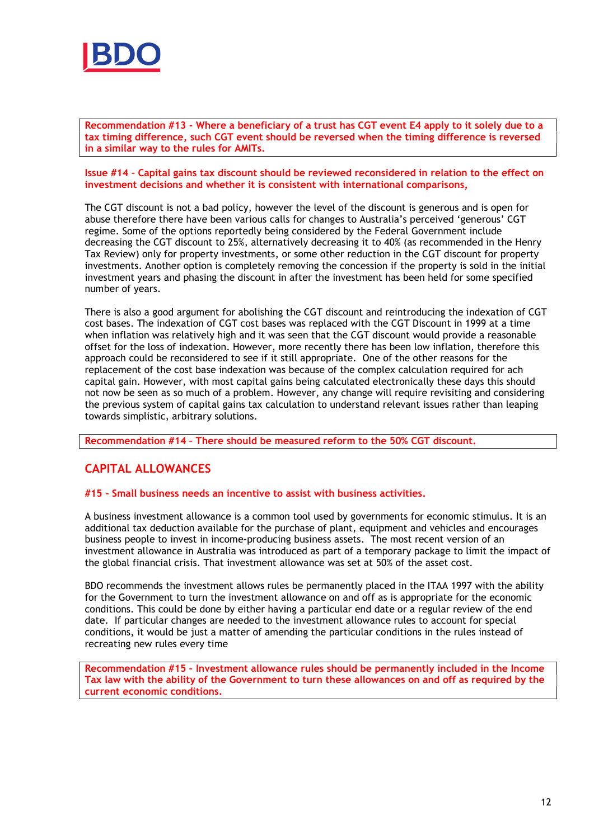

Recommendation #13 - Where a beneficiary of a trust has CGT event E4 apply to it solely due to a tax timing difference, such CGT event should be reversed when the timing difference is reversed in a similar way to the rules for AMITs.

#### Issue #14 – Capital gains tax discount should be reviewed reconsidered in relation to the effect on investment decisions and whether it is consistent with international comparisons,

The CGT discount is not a bad policy, however the level of the discount is generous and is open for abuse therefore there have been various calls for changes to Australia's perceived 'generous' CGT regime. Some of the options reportedly being considered by the Federal Government include decreasing the CGT discount to 25%, alternatively decreasing it to 40% (as recommended in the Henry Tax Review) only for property investments, or some other reduction in the CGT discount for property investments. Another option is completely removing the concession if the property is sold in the initial investment years and phasing the discount in after the investment has been held for some specified number of years.

There is also a good argument for abolishing the CGT discount and reintroducing the indexation of CGT cost bases. The indexation of CGT cost bases was replaced with the CGT Discount in 1999 at a time when inflation was relatively high and it was seen that the CGT discount would provide a reasonable offset for the loss of indexation. However, more recently there has been low inflation, therefore this approach could be reconsidered to see if it still appropriate. One of the other reasons for the replacement of the cost base indexation was because of the complex calculation required for ach capital gain. However, with most capital gains being calculated electronically these days this should not now be seen as so much of a problem. However, any change will require revisiting and considering the previous system of capital gains tax calculation to understand relevant issues rather than leaping towards simplistic, arbitrary solutions.

Recommendation #14 – There should be measured reform to the 50% CGT discount.

# CAPITAL ALLOWANCES

#### #15 – Small business needs an incentive to assist with business activities.

A business investment allowance is a common tool used by governments for economic stimulus. It is an additional tax deduction available for the purchase of plant, equipment and vehicles and encourages business people to invest in income-producing business assets. The most recent version of an investment allowance in Australia was introduced as part of a temporary package to limit the impact of the global financial crisis. That investment allowance was set at 50% of the asset cost.

BDO recommends the investment allows rules be permanently placed in the ITAA 1997 with the ability for the Government to turn the investment allowance on and off as is appropriate for the economic conditions. This could be done by either having a particular end date or a regular review of the end date. If particular changes are needed to the investment allowance rules to account for special conditions, it would be just a matter of amending the particular conditions in the rules instead of recreating new rules every time

Recommendation #15 – Investment allowance rules should be permanently included in the Income Tax law with the ability of the Government to turn these allowances on and off as required by the current economic conditions.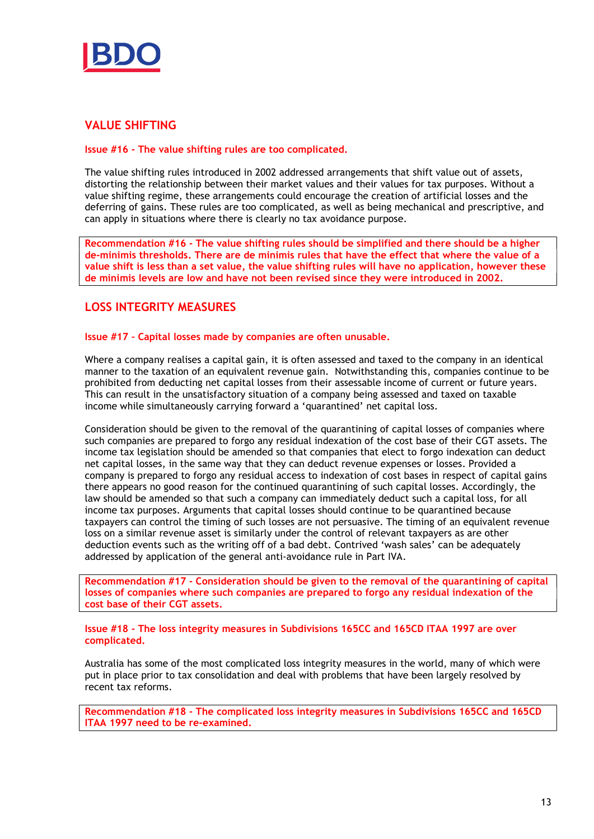

# VALUE SHIFTING

## Issue #16 - The value shifting rules are too complicated.

The value shifting rules introduced in 2002 addressed arrangements that shift value out of assets, distorting the relationship between their market values and their values for tax purposes. Without a value shifting regime, these arrangements could encourage the creation of artificial losses and the deferring of gains. These rules are too complicated, as well as being mechanical and prescriptive, and can apply in situations where there is clearly no tax avoidance purpose.

Recommendation #16 - The value shifting rules should be simplified and there should be a higher de-minimis thresholds. There are de minimis rules that have the effect that where the value of a value shift is less than a set value, the value shifting rules will have no application, however these de minimis levels are low and have not been revised since they were introduced in 2002.

# LOSS INTEGRITY MEASURES

### Issue #17 – Capital losses made by companies are often unusable.

Where a company realises a capital gain, it is often assessed and taxed to the company in an identical manner to the taxation of an equivalent revenue gain. Notwithstanding this, companies continue to be prohibited from deducting net capital losses from their assessable income of current or future years. This can result in the unsatisfactory situation of a company being assessed and taxed on taxable income while simultaneously carrying forward a 'quarantined' net capital loss.

Consideration should be given to the removal of the quarantining of capital losses of companies where such companies are prepared to forgo any residual indexation of the cost base of their CGT assets. The income tax legislation should be amended so that companies that elect to forgo indexation can deduct net capital losses, in the same way that they can deduct revenue expenses or losses. Provided a company is prepared to forgo any residual access to indexation of cost bases in respect of capital gains there appears no good reason for the continued quarantining of such capital losses. Accordingly, the law should be amended so that such a company can immediately deduct such a capital loss, for all income tax purposes. Arguments that capital losses should continue to be quarantined because taxpayers can control the timing of such losses are not persuasive. The timing of an equivalent revenue loss on a similar revenue asset is similarly under the control of relevant taxpayers as are other deduction events such as the writing off of a bad debt. Contrived 'wash sales' can be adequately addressed by application of the general anti-avoidance rule in Part IVA.

Recommendation #17 - Consideration should be given to the removal of the quarantining of capital losses of companies where such companies are prepared to forgo any residual indexation of the cost base of their CGT assets.

Issue #18 - The loss integrity measures in Subdivisions 165CC and 165CD ITAA 1997 are over complicated.

Australia has some of the most complicated loss integrity measures in the world, many of which were put in place prior to tax consolidation and deal with problems that have been largely resolved by recent tax reforms.

Recommendation #18 - The complicated loss integrity measures in Subdivisions 165CC and 165CD ITAA 1997 need to be re-examined.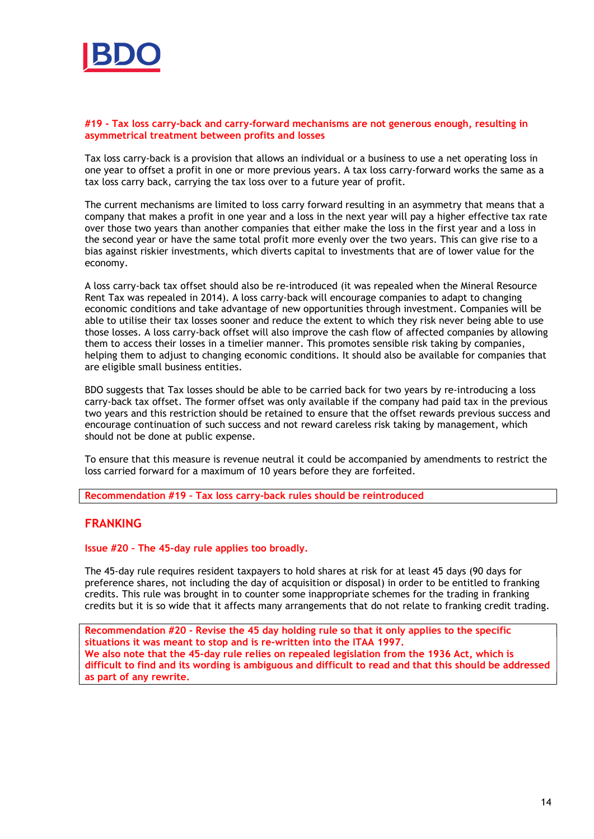

#### #19 - Tax loss carry-back and carry-forward mechanisms are not generous enough, resulting in asymmetrical treatment between profits and losses

Tax loss carry-back is a provision that allows an individual or a business to use a net operating loss in one year to offset a profit in one or more previous years. A tax loss carry-forward works the same as a tax loss carry back, carrying the tax loss over to a future year of profit.

The current mechanisms are limited to loss carry forward resulting in an asymmetry that means that a company that makes a profit in one year and a loss in the next year will pay a higher effective tax rate over those two years than another companies that either make the loss in the first year and a loss in the second year or have the same total profit more evenly over the two years. This can give rise to a bias against riskier investments, which diverts capital to investments that are of lower value for the economy.

A loss carry-back tax offset should also be re-introduced (it was repealed when the Mineral Resource Rent Tax was repealed in 2014). A loss carry-back will encourage companies to adapt to changing economic conditions and take advantage of new opportunities through investment. Companies will be able to utilise their tax losses sooner and reduce the extent to which they risk never being able to use those losses. A loss carry-back offset will also improve the cash flow of affected companies by allowing them to access their losses in a timelier manner. This promotes sensible risk taking by companies, helping them to adjust to changing economic conditions. It should also be available for companies that are eligible small business entities.

BDO suggests that Tax losses should be able to be carried back for two years by re-introducing a loss carry-back tax offset. The former offset was only available if the company had paid tax in the previous two years and this restriction should be retained to ensure that the offset rewards previous success and encourage continuation of such success and not reward careless risk taking by management, which should not be done at public expense.

To ensure that this measure is revenue neutral it could be accompanied by amendments to restrict the loss carried forward for a maximum of 10 years before they are forfeited.

Recommendation #19 – Tax loss carry-back rules should be reintroduced

## FRANKING

Issue #20 – The 45-day rule applies too broadly.

The 45-day rule requires resident taxpayers to hold shares at risk for at least 45 days (90 days for preference shares, not including the day of acquisition or disposal) in order to be entitled to franking credits. This rule was brought in to counter some inappropriate schemes for the trading in franking credits but it is so wide that it affects many arrangements that do not relate to franking credit trading.

Recommendation #20 - Revise the 45 day holding rule so that it only applies to the specific situations it was meant to stop and is re-written into the ITAA 1997. We also note that the 45-day rule relies on repealed legislation from the 1936 Act, which is difficult to find and its wording is ambiguous and difficult to read and that this should be addressed as part of any rewrite.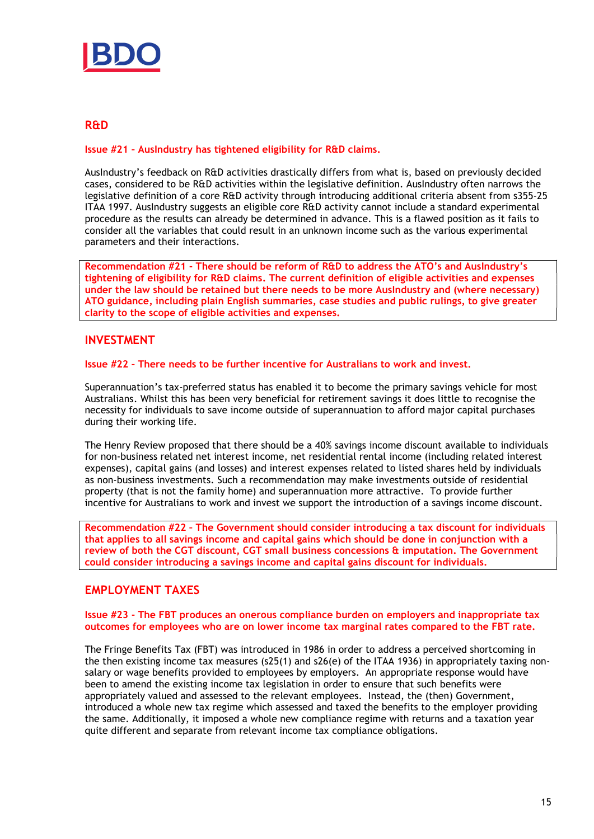

## R&D

Issue #21 – AusIndustry has tightened eligibility for R&D claims.

AusIndustry's feedback on R&D activities drastically differs from what is, based on previously decided cases, considered to be R&D activities within the legislative definition. AusIndustry often narrows the legislative definition of a core R&D activity through introducing additional criteria absent from s355-25 ITAA 1997. AusIndustry suggests an eligible core R&D activity cannot include a standard experimental procedure as the results can already be determined in advance. This is a flawed position as it fails to consider all the variables that could result in an unknown income such as the various experimental parameters and their interactions.

Recommendation #21 - There should be reform of R&D to address the ATO's and AusIndustry's tightening of eligibility for R&D claims. The current definition of eligible activities and expenses under the law should be retained but there needs to be more AusIndustry and (where necessary) ATO guidance, including plain English summaries, case studies and public rulings, to give greater clarity to the scope of eligible activities and expenses.

## INVESTMENT

#### Issue #22 – There needs to be further incentive for Australians to work and invest.

Superannuation's tax-preferred status has enabled it to become the primary savings vehicle for most Australians. Whilst this has been very beneficial for retirement savings it does little to recognise the necessity for individuals to save income outside of superannuation to afford major capital purchases during their working life.

The Henry Review proposed that there should be a 40% savings income discount available to individuals for non-business related net interest income, net residential rental income (including related interest expenses), capital gains (and losses) and interest expenses related to listed shares held by individuals as non-business investments. Such a recommendation may make investments outside of residential property (that is not the family home) and superannuation more attractive. To provide further incentive for Australians to work and invest we support the introduction of a savings income discount.

Recommendation #22 – The Government should consider introducing a tax discount for individuals that applies to all savings income and capital gains which should be done in conjunction with a review of both the CGT discount, CGT small business concessions & imputation. The Government could consider introducing a savings income and capital gains discount for individuals.

## EMPLOYMENT TAXES

#### Issue #23 - The FBT produces an onerous compliance burden on employers and inappropriate tax outcomes for employees who are on lower income tax marginal rates compared to the FBT rate.

The Fringe Benefits Tax (FBT) was introduced in 1986 in order to address a perceived shortcoming in the then existing income tax measures (s25(1) and s26(e) of the ITAA 1936) in appropriately taxing nonsalary or wage benefits provided to employees by employers. An appropriate response would have been to amend the existing income tax legislation in order to ensure that such benefits were appropriately valued and assessed to the relevant employees. Instead, the (then) Government, introduced a whole new tax regime which assessed and taxed the benefits to the employer providing the same. Additionally, it imposed a whole new compliance regime with returns and a taxation year quite different and separate from relevant income tax compliance obligations.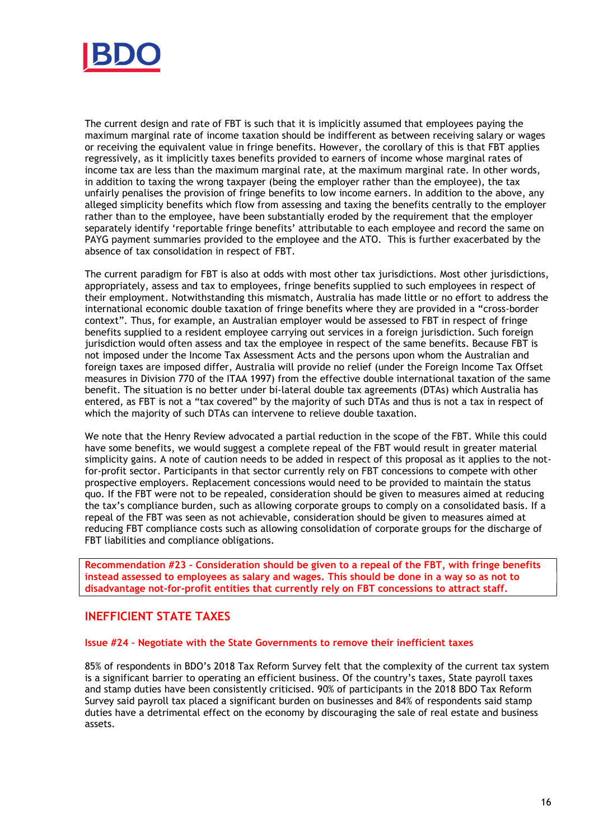

The current design and rate of FBT is such that it is implicitly assumed that employees paying the maximum marginal rate of income taxation should be indifferent as between receiving salary or wages or receiving the equivalent value in fringe benefits. However, the corollary of this is that FBT applies regressively, as it implicitly taxes benefits provided to earners of income whose marginal rates of income tax are less than the maximum marginal rate, at the maximum marginal rate. In other words, in addition to taxing the wrong taxpayer (being the employer rather than the employee), the tax unfairly penalises the provision of fringe benefits to low income earners. In addition to the above, any alleged simplicity benefits which flow from assessing and taxing the benefits centrally to the employer rather than to the employee, have been substantially eroded by the requirement that the employer separately identify 'reportable fringe benefits' attributable to each employee and record the same on PAYG payment summaries provided to the employee and the ATO. This is further exacerbated by the absence of tax consolidation in respect of FBT.

The current paradigm for FBT is also at odds with most other tax jurisdictions. Most other jurisdictions, appropriately, assess and tax to employees, fringe benefits supplied to such employees in respect of their employment. Notwithstanding this mismatch, Australia has made little or no effort to address the international economic double taxation of fringe benefits where they are provided in a "cross-border context". Thus, for example, an Australian employer would be assessed to FBT in respect of fringe benefits supplied to a resident employee carrying out services in a foreign jurisdiction. Such foreign jurisdiction would often assess and tax the employee in respect of the same benefits. Because FBT is not imposed under the Income Tax Assessment Acts and the persons upon whom the Australian and foreign taxes are imposed differ, Australia will provide no relief (under the Foreign Income Tax Offset measures in Division 770 of the ITAA 1997) from the effective double international taxation of the same benefit. The situation is no better under bi-lateral double tax agreements (DTAs) which Australia has entered, as FBT is not a "tax covered" by the majority of such DTAs and thus is not a tax in respect of which the majority of such DTAs can intervene to relieve double taxation.

We note that the Henry Review advocated a partial reduction in the scope of the FBT. While this could have some benefits, we would suggest a complete repeal of the FBT would result in greater material simplicity gains. A note of caution needs to be added in respect of this proposal as it applies to the notfor-profit sector. Participants in that sector currently rely on FBT concessions to compete with other prospective employers. Replacement concessions would need to be provided to maintain the status quo. If the FBT were not to be repealed, consideration should be given to measures aimed at reducing the tax's compliance burden, such as allowing corporate groups to comply on a consolidated basis. If a repeal of the FBT was seen as not achievable, consideration should be given to measures aimed at reducing FBT compliance costs such as allowing consolidation of corporate groups for the discharge of FBT liabilities and compliance obligations.

Recommendation #23 – Consideration should be given to a repeal of the FBT, with fringe benefits instead assessed to employees as salary and wages. This should be done in a way so as not to disadvantage not-for-profit entities that currently rely on FBT concessions to attract staff.

## INEFFICIENT STATE TAXES

#### Issue #24 – Negotiate with the State Governments to remove their inefficient taxes

85% of respondents in BDO's 2018 Tax Reform Survey felt that the complexity of the current tax system is a significant barrier to operating an efficient business. Of the country's taxes, State payroll taxes and stamp duties have been consistently criticised. 90% of participants in the 2018 BDO Tax Reform Survey said payroll tax placed a significant burden on businesses and 84% of respondents said stamp duties have a detrimental effect on the economy by discouraging the sale of real estate and business assets.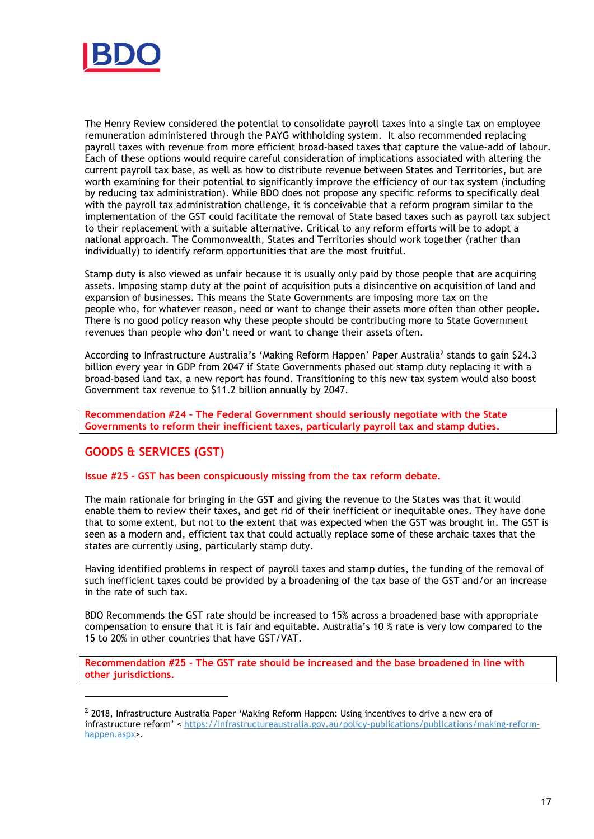

The Henry Review considered the potential to consolidate payroll taxes into a single tax on employee remuneration administered through the PAYG withholding system. It also recommended replacing payroll taxes with revenue from more efficient broad-based taxes that capture the value-add of labour. Each of these options would require careful consideration of implications associated with altering the current payroll tax base, as well as how to distribute revenue between States and Territories, but are worth examining for their potential to significantly improve the efficiency of our tax system (including by reducing tax administration). While BDO does not propose any specific reforms to specifically deal with the payroll tax administration challenge, it is conceivable that a reform program similar to the implementation of the GST could facilitate the removal of State based taxes such as payroll tax subject to their replacement with a suitable alternative. Critical to any reform efforts will be to adopt a national approach. The Commonwealth, States and Territories should work together (rather than individually) to identify reform opportunities that are the most fruitful.

Stamp duty is also viewed as unfair because it is usually only paid by those people that are acquiring assets. Imposing stamp duty at the point of acquisition puts a disincentive on acquisition of land and expansion of businesses. This means the State Governments are imposing more tax on the people who, for whatever reason, need or want to change their assets more often than other people. There is no good policy reason why these people should be contributing more to State Government revenues than people who don't need or want to change their assets often.

According to Infrastructure Australia's 'Making Reform Happen' Paper Australia<sup>2</sup> stands to gain \$24.3 billion every year in GDP from 2047 if State Governments phased out stamp duty replacing it with a broad-based land tax, a new report has found. Transitioning to this new tax system would also boost Government tax revenue to \$11.2 billion annually by 2047.

Recommendation #24 – The Federal Government should seriously negotiate with the State Governments to reform their inefficient taxes, particularly payroll tax and stamp duties.

# GOODS & SERVICES (GST)

-

Issue #25 – GST has been conspicuously missing from the tax reform debate.

The main rationale for bringing in the GST and giving the revenue to the States was that it would enable them to review their taxes, and get rid of their inefficient or inequitable ones. They have done that to some extent, but not to the extent that was expected when the GST was brought in. The GST is seen as a modern and, efficient tax that could actually replace some of these archaic taxes that the states are currently using, particularly stamp duty.

Having identified problems in respect of payroll taxes and stamp duties, the funding of the removal of such inefficient taxes could be provided by a broadening of the tax base of the GST and/or an increase in the rate of such tax.

BDO Recommends the GST rate should be increased to 15% across a broadened base with appropriate compensation to ensure that it is fair and equitable. Australia's 10 % rate is very low compared to the 15 to 20% in other countries that have GST/VAT.

Recommendation #25 - The GST rate should be increased and the base broadened in line with other jurisdictions.

 $<sup>2</sup>$  2018, Infrastructure Australia Paper 'Making Reform Happen: Using incentives to drive a new era of</sup> infrastructure reform' < https://infrastructureaustralia.gov.au/policy-publications/publications/making-reformhappen.aspx>.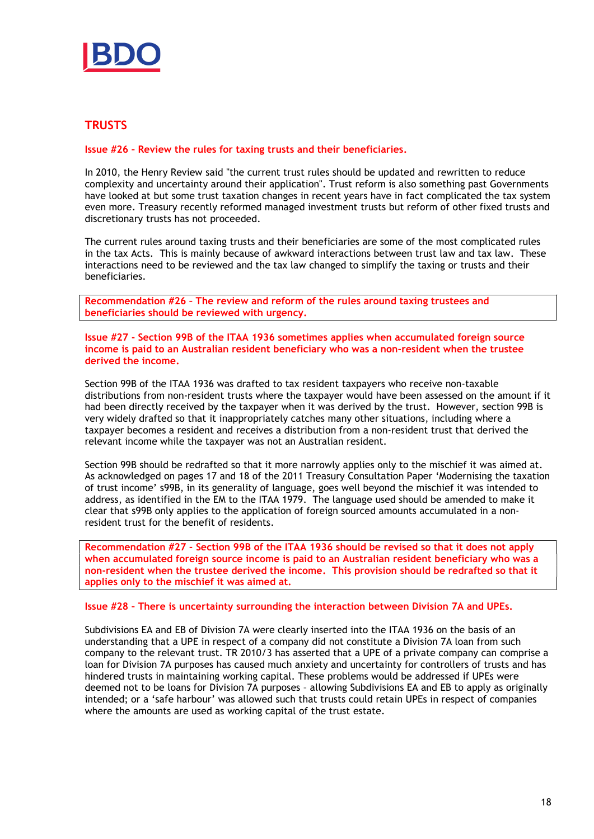

# **TRUSTS**

Issue #26 – Review the rules for taxing trusts and their beneficiaries.

In 2010, the Henry Review said "the current trust rules should be updated and rewritten to reduce complexity and uncertainty around their application". Trust reform is also something past Governments have looked at but some trust taxation changes in recent years have in fact complicated the tax system even more. Treasury recently reformed managed investment trusts but reform of other fixed trusts and discretionary trusts has not proceeded.

The current rules around taxing trusts and their beneficiaries are some of the most complicated rules in the tax Acts. This is mainly because of awkward interactions between trust law and tax law. These interactions need to be reviewed and the tax law changed to simplify the taxing or trusts and their beneficiaries.

Recommendation #26 – The review and reform of the rules around taxing trustees and beneficiaries should be reviewed with urgency.

Issue #27 - Section 99B of the ITAA 1936 sometimes applies when accumulated foreign source income is paid to an Australian resident beneficiary who was a non-resident when the trustee derived the income.

Section 99B of the ITAA 1936 was drafted to tax resident taxpayers who receive non-taxable distributions from non-resident trusts where the taxpayer would have been assessed on the amount if it had been directly received by the taxpayer when it was derived by the trust. However, section 99B is very widely drafted so that it inappropriately catches many other situations, including where a taxpayer becomes a resident and receives a distribution from a non-resident trust that derived the relevant income while the taxpayer was not an Australian resident.

Section 99B should be redrafted so that it more narrowly applies only to the mischief it was aimed at. As acknowledged on pages 17 and 18 of the 2011 Treasury Consultation Paper 'Modernising the taxation of trust income' s99B, in its generality of language, goes well beyond the mischief it was intended to address, as identified in the EM to the ITAA 1979. The language used should be amended to make it clear that s99B only applies to the application of foreign sourced amounts accumulated in a nonresident trust for the benefit of residents.

Recommendation #27 - Section 99B of the ITAA 1936 should be revised so that it does not apply when accumulated foreign source income is paid to an Australian resident beneficiary who was a non-resident when the trustee derived the income. This provision should be redrafted so that it applies only to the mischief it was aimed at.

### Issue #28 – There is uncertainty surrounding the interaction between Division 7A and UPEs.

Subdivisions EA and EB of Division 7A were clearly inserted into the ITAA 1936 on the basis of an understanding that a UPE in respect of a company did not constitute a Division 7A loan from such company to the relevant trust. TR 2010/3 has asserted that a UPE of a private company can comprise a loan for Division 7A purposes has caused much anxiety and uncertainty for controllers of trusts and has hindered trusts in maintaining working capital. These problems would be addressed if UPEs were deemed not to be loans for Division 7A purposes – allowing Subdivisions EA and EB to apply as originally intended; or a 'safe harbour' was allowed such that trusts could retain UPEs in respect of companies where the amounts are used as working capital of the trust estate.